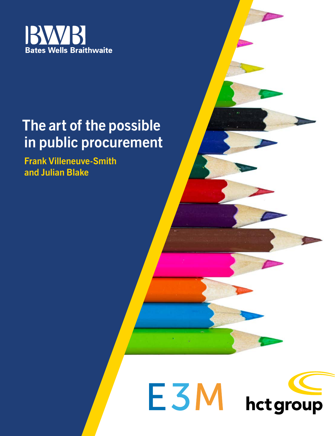

# **The art of the possible in public procurement**

E3M

hct group

**Frank Villeneuve-Smith and Julian Blake**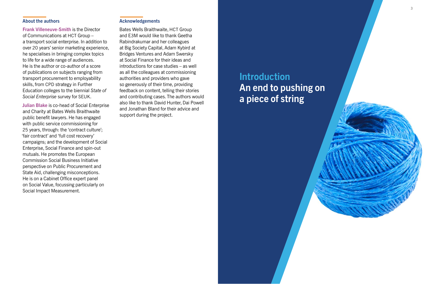### **About the authors**

**Frank Villeneuve-Smith** is the Director of Communications at HCT Group – a transport social enterprise. In addition to over 20 years' senior marketing experience, he specialises in bringing complex topics to life for a wide range of audiences. He is the author or co-author of a score of publications on subjects ranging from transport procurement to employability skills, from CPD strategy in Further Education colleges to the biennial *State of Social Enterprise* survey for SEUK .

**Julian Blake** is co-head of Social Enterprise and Charity at Bates Wells Braithwaite public benefit lawyers. He has engaged with public service commissioning for 25 years, through: the 'contract culture'; 'fair contract' and 'full cost recovery' campaigns; and the development of Social Enterprise, Social Finance and spin-out mutuals. He promotes the European Commission Social Business Initiative perspective on Public Procurement and State Aid, challenging misconceptions. He is on a Cabinet Office expert panel on Social Value, focussing particularly on Social Impact Measurement.

### **Acknowledgements**

Bates Wells Braithwaite, HCT Group and E 3M would like to thank Geetha Rabindrakumar and her colleagues at Big Society Capital, Adam Kybird at Bridges Ventures and Adam Swersky at Social Finance for their ideas and introductions for case studies – as well as all the colleagues at commissioning authorities and providers who gave so generously of their time, providing feedback on content, telling their stories and contributing cases.The authors would also like to thank David Hunter, Dai Powell and Jonathan Bland for their advice and support during the project.

## **Introduction An end to pushing on a piece of string**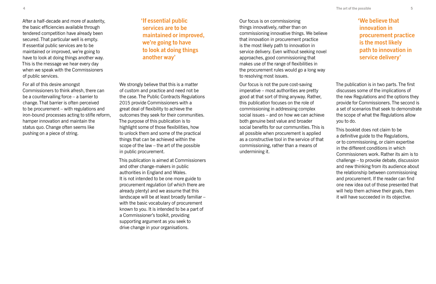After a half-decade and more of austerity, the basic efficiencies available through tendered competition have already been secured.That particular well is empty. If essential public services are to be maintained or improved, we're going to have to look at doing things another way. This is the message we hear every day when we speak with the Commissioners of public services.

For all of this desire amongst Commissioners to think afresh, there can be a countervailing force – a barrier to change.That barrier is often perceived to be procurement – with regulations and iron-bound processes acting to stifle reform, hamper innovation and maintain the status quo. Change often seems like pushing on a piece of string.

### **'If essential public services are to be maintained or improved, we're going to have to look at doing things another way'**

We strongly believe that this is a matter of custom and practice and need not be the case.The Public Contracts Regulations 2015 provide Commissioners with a great deal of flexibility to achieve the outcomes they seek for their communities. The purpose of this publication is to highlight some of those flexibilities, how to unlock them and some of the practical things that can be achieved within the scope of the law – the art of the possible in public procurement.

This publication is aimed at Commissioners and other change-makers in public authorities in England and Wales. It is not intended to be one more guide to procurement regulation (of which there are already plenty) and we assume that this landscape will be at least broadly familiar – with the basic vocabulary of procurement known to you. It is intended to be a part of a Commissioner's toolkit, providing supporting argument as you seek to drive change in your organisations.

Our focus is on commissioning things innovatively, rather than on commissioning innovative things. We believe that innovation in procurement practice is the most likely path to innovation in service delivery. Even without seeking novel approaches, good commissioning that makes use of the range of flexibilities in the procurement rules would go a long way to resolving most issues.

Our focus is not the pure cost-saving imperative – most authorities are pretty good at that sort of thing anyway. Rather, this publication focuses on the role of commissioning in addressing complex social issues – and on how we can achieve both genuine best value and broader social benefits for our communities.This is all possible when procurement is applied as a constructive tool in the service of that commissioning, rather than a means of undermining it.

**'We believe that innovation in procurement practice is the most likely path to innovation in service delivery'**

The publication is in two parts.The first discusses some of the implications of the new Regulations and the options they provide for Commissioners.The second is a set of scenarios that seek to demonstrate the scope of what the Regulations allow you to do.

This booklet does not claim to be a definitive guide to the Regulations, or to commissioning, or claim expertise in the different conditions in which Commissioners work. Rather its aim is to challenge – to provoke debate, discussion and new thinking from its audience about the relationship between commissioning and procurement. If the reader can find one new idea out of those presented that will help them achieve their goals, then it will have succeeded in its objective.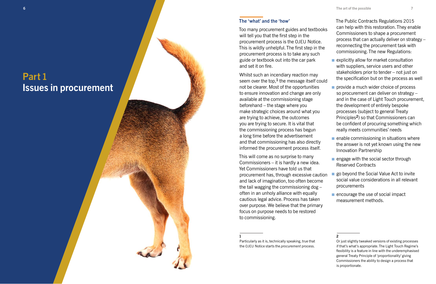### **The 'what' and the 'how'**

Too many procurement guides and textbooks will tell you that the first step in the procurement process is the OJEU Notice. This is wildly unhelpful.The first step in the procurement process is to take any such guide or textbook out into the car park and set it on fire.

Whilst such an incendiary reaction may seem over the top, **1** the message itself could not be clearer. Most of the opportunities to ensure innovation and change are only available at the commissioning stage beforehand – the stage where you make strategic choices around what you are trying to achieve, the outcomes you are trying to secure. It is vital that the commissioning process has begun a long time before the advertisement and that commissioning has also directly informed the procurement process itself.

This will come as no surprise to many Commissioners – it is hardly a new idea. Yet Commissioners have told us that procurement has, through excessive caution and lack of imagination, too often become the tail wagging the commissioning dog – often in an unholy alliance with equally cautious legal advice. Process has taken over purpose. We believe that the primary focus on purpose needs to be restored to commissioning.

Particularly as it is, technically speaking, true that the OJEU Notice starts the *procurement* process.

## The Public Contracts Regulations 2015 can help with this restoration.They enable

Commissioners to shape a procurement process that can actually deliver on strategy – reconnecting the procurement task with commissioning.The new Regulations:

- $\blacksquare$  explicitly allow for market consultation with suppliers, service users and other stakeholders prior to tender – not just on the specification but on the process as well
- provide a much wider choice of process so procurement can deliver on strategy – and in the case of Light Touch procurement, the development of entirely bespoke processes (subject to general Treaty Principles **2**) so that Commissioners can be confident of procuring something which really meets communities' needs
- $\blacksquare$  enable commissioning in situations where the answer is not yet known using the new Innovation Partnership
- engage with the social sector through Reserved Contracts
- go beyond the Social Value Act to invite social value considerations in all relevant procurements
- encourage the use of social impact measurement methods.

**2**

Or just slightly tweaked versions of existing processes if that's what's appropriate.The Light Touch Regime's flexibility is a feature in line with the underemphasised general Treaty Principle of 'proportionality' giving Commissioners the ability to design a process that is proportionate.

# **Part 1 Issues in procurement**

**<sup>1</sup>**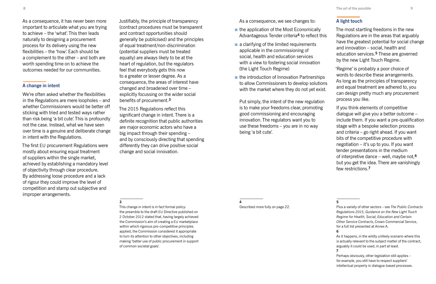As a consequence, it has never been more important to articulate what you are trying to achieve – the 'what'.This then leads naturally to designing a procurement process for its delivery using the new flexibilities – the 'how'. Each should be a complement to the other – and both are worth spending time on to achieve the outcomes needed for our communities.

### **A change in intent**

We're often asked whether the flexibilities in the Regulations are mere loopholes – and whether Commissioners would be better off sticking with tried and tested ways rather than risk being 'a bit cute'.This is profoundly not the case. Instead, what we have seen over time is a genuine and deliberate change in intent with the Regulations.

The first EU procurement Regulations were mostly about ensuring equal treatment of suppliers within the single market, achieved by establishing a mandatory level of objectivity through clear procedure. By addressing loose procedure and a lack of rigour they could improve the level of competition and stamp out subjective and improper arrangements.

Justifiably, the principle of transparency (contract procedures must be transparent and contract opportunities should generally be publicised) and the principles of equal treatment/non-discrimination (potential suppliers must be treated equally) are always likely to be at the heart of regulation, but the regulators feel that everybody gets this now to a greater or lesser degree. As a consequence, the areas of interest have changed and broadened over time – explicitly focussing on the wider social benefits of procurement.**3**

The 2015 Regulations reflect this significant change in intent.There is a definite recognition that public authorities are major economic actors who have a big impact through their spending – and by consciously directing that spending differently they can drive positive social change and social innovation.

As a consequence, we see changes to:

- the application of the Most Economically Advantageous Tender criteria**4** to reflect this
- $\blacksquare$  a clarifying of the limited requirements applicable in the commissioning of social, health and education services with a view to fostering social innovation (the Light Touch Regime)
- the introduction of Innovation Partnerships to allow Commissioners to develop solutions with the market where they do not yet exist.

Put simply, the intent of the new regulation is to make your freedoms clear, promoting good commissioning and encouraging innovation.The regulators want you to use these freedoms – you are in no way being 'a bit cute'.

### **A light touch**

The most startling freedoms in the new Regulations are in the areas that arguably have the greatest potential for social change and innovation – social, health and education services.**5** These are governed by the new Light Touch Regime.

'Regime' is probably a poor choice of words to describe these arrangements. As long as the principles of transparency and equal treatment are adhered to, you can design pretty much any procurement process you like.

If you think elements of competitive dialogue will give you a better outcome – include them. If you want a pre-qualification stage with a bespoke selection process and criteria – go right ahead. If you want bits of the competitive procedure with negotiation – it's up to you. If you want tender presentations in the medium of interpretive dance – well, maybe not,**6** but you get the idea.There are vanishingly few restrictions.**7**

**3**

This change in intent is in fact formal policy: the preamble to the draft EU Directive published on 2 October 2012 stated that, having largely achieved the Commission's aim of creating a EU marketplace within which rigorous pro-competitive principles applied, the Commission considered it appropriate to turn its attention to other objectives, including making 'better use of public procurement in support of common societal goals'.

#### **4**

Described more fully on page 22.

**5** Plus a variety of other sectors – see *The Public Contracts Regulations 2015, Guidance on the New Light Touch Regime for Health, Social, Education and Certain Other Service Contracts*, Crown Commercial Service, for a full list presented at Annex A.

#### **6**

As it happens, in the wildly unlikely scenario where this is actually relevant to the subject matter of the contract, arguably it could be used, in part at least.

**7**

Perhaps obviously, other legislation still applies – for example, you still have to respect suppliers' intellectual property in dialogue-based processes.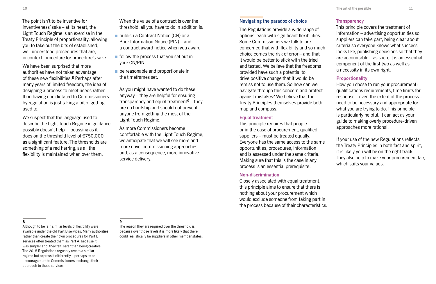The point isn't to be inventive for inventiveness' sake – at its heart, the Light Touch Regime is an exercise in the Treaty Principle of proportionality, allowing you to take out the bits of established, well understood procedures that are, in context, procedure for procedure's sake.

We have been surprised that more authorities have not taken advantage of these new flexibilities.**8** Perhaps after many years of limited freedom, the idea of designing a process to meet needs rather than having one dictated to Commissioners by regulation is just taking a bit of getting used to.

We suspect that the language used to describe the Light Touch Regime in guidance possibly doesn't help – focussing as it does on the threshold level of €750,000 as a significant feature.The thresholds are something of a red herring, as all the flexibility is maintained when over them.

When the value of a contract is over the threshold, all you have to do in addition is:

- publish a Contract Notice (CN) or a Prior Information Notice (PIN) – and a contract award notice when you award
- follow the process that you set out in your CN/PIN
- be reasonable and proportionate in the timeframes set.

As you might have wanted to do these anyway – they are helpful for ensuring transparency and equal treatment**9** – they are no hardship and should not prevent anyone from getting the most of the Light Touch Regime.

As more Commissioners become comfortable with the Light Touch Regime, we anticipate that we will see more and more novel commissioning approaches and, as a consequence, more innovative service delivery.

#### **8**

Although to be fair, similar levels of flexibility were available under the old Part B services. Many authorities, rather than create their own procedures for Part B services often treated them as Part A, because it was simpler and, they felt, safer than being creative. The 2015 Regulations arguably create a similar regime but express it differently – perhaps as an encouragement to Commissioners to change their approach to these services.

#### **9**

The reason they are required over the threshold is because over those levels it is more likely that there could realistically be suppliers in other member states.

### **Navigating the paradox of choice**

The Regulations provide a wide range of options, each with significant flexibilities. Some Commissioners we talk to are concerned that with flexibility and so much choice comes the risk of error – and that it would be better to stick with the tried and tested. We believe that the freedoms provided have such a potential to drive positive change that it would be remiss not to use them. So how can we navigate through this concern and protect against mistakes? We believe that the Treaty Principles themselves provide both map and compass.

#### **Equal treatment**

This principle requires that people – or in the case of procurement, qualified suppliers – must be treated equally. Everyone has the same access to the same opportunities, procedures, information and is assessed under the same criteria. Making sure that this is the case in any process is an essential prerequisite.

#### **Non-discrimination**

Closely associated with equal treatment, this principle aims to ensure that there is nothing about your procurement which would exclude someone from taking part in the process because of their characteristics.

#### **Transparency**

This principle covers the treatment of information – advertising opportunities so suppliers can take part, being clear about criteria so everyone knows what success looks like, publishing decisions so that they are accountable – as such, it is an essential component of the first two as well as a necessity in its own right.

#### **Proportionality**

How you chose to run your procurement: qualifications requirements, time limits for response – even the extent of the process – need to be necessary and appropriate for what you are trying to do.This principle is particularly helpful. It can act as your guide to making overly procedure-driven approaches more rational.

If your use of the new Regulations reflects the Treaty Principles in both fact and spirit, it is likely you will be on the right track. They also help to make your procurement fair, which suits your values.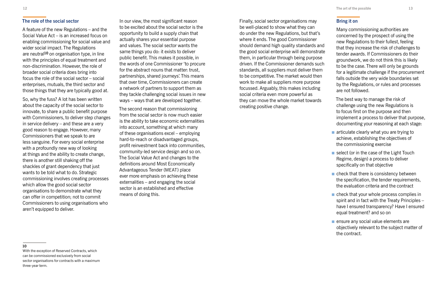A feature of the new Regulations – and the Social Value Act – is an increased focus on enabling commissioning for social value and wider social impact.The Regulations are neutral**10** on organisation type, in line with the principles of equal treatment and non-discrimination. However, the role of broader social criteria does bring into focus the role of the social sector – social enterprises, mutuals, the third sector and those things that they are typically good at.

So, why the fuss? A lot has been written about the capacity of the social sector to innovate, to share a public benefit purpose with Commissioners, to deliver step changes in service delivery – and these are a very good reason to engage. However, many Commissioners that we speak to are less sanguine. For every social enterprise with a profoundly new way of looking at things and the ability to create change, there is another still shaking off the shackles of grant dependency that just wants to be told what to do. Strategic commissioning involves creating processes which allow the good social sector organisations to demonstrate what they can offer in competition; not to commit Commissioners to using organisations who aren't equipped to deliver.

In our view, the most significant reason to be excited about the social sector is the opportunity to build a supply chain that actually shares your essential purpose and values.The social sector wants the same things you do: it exists to deliver public benefit.This makes it possible, in the words of one Commissioner 'to procure for the abstract nouns that matter: trust, partnerships, shared journeys'.This means that over time, Commissioners can create a network of partners to support them as they tackle challenging social issues in new ways – ways that are developed together.

The second reason that commissioning from the social sector is now much easier is the ability to take economic externalities into account, something at which many of these organisations excel – employing hard-to-reach or disadvantaged groups, profit reinvestment back into communities, community-led service design and so on. The Social Value Act and changes to the definitions around Most Economically Advantageous Tender (MEAT) place ever more emphasis on achieving these externalities – and engaging the social sector is an established and effective means of doing this.

### **Bring it on**

Finally, social sector organisations may be well-placed to show what they can do under the new Regulations, but that's where it ends.The good Commissioner should demand high quality standards and the good social enterprise will demonstrate them, in particular through being purpose driven. If the Commissioner demands such standards, all suppliers must deliver them to be competitive.The market would then work to make all suppliers more purpose focussed. Arguably, this makes including social criteria even more powerful as they can move the whole market towards

creating positive change.

Many commissioning authorities are concerned by the prospect of using the new Regulations to their fullest, feeling that they increase the risk of challenges to tender awards. If Commissioners do their groundwork, we do not think this is likely to be the case.There will only be grounds for a legitimate challenge if the procurement falls outside the very wide boundaries set by the Regulations, or rules and processes are not followed.

The best way to manage the risk of challenge using the new Regulations is to focus first on the purpose and then implement a process to deliver that purpose, documenting your reasoning at each stage:

- articulate clearly what you are trying to achieve, establishing the objectives of the commissioning exercise
- $\blacksquare$  select (or in the case of the Light Touch Regime, design) a process to deliver specifically on that objective
- $\blacksquare$  check that there is consistency between the specification, the tender requirements, the evaluation criteria and the contract
- check that your whole process complies in spirit and in fact with the Treaty Principles – have I ensured transparency? Have I ensured equal treatment? and so on
- ensure any social value elements are objectively relevant to the subject matter of the contract.

**10**

With the exception of Reserved Contracts, which can be commissioned exclusively from social sector organisations for contracts with a maximum three-year term.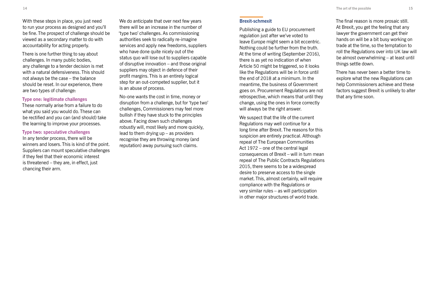With these steps in place, you just need to run your process as designed and you'll be fine.The prospect of challenge should be viewed as a secondary matter to do with accountability for acting properly.

There is one further thing to say about challenges. In many public bodies, any challenge to a tender decision is met with a natural defensiveness.This should not always be the case – the balance should be reset. In our experience, there are two types of challenge:

### **Type one: legitimate challenges**

These normally arise from a failure to do what you said you would do.These can be rectified and you can (and should) take the learning to improve your processes.

### **Type two: speculative challenges**

In any tender process, there will be winners and losers.This is kind of the point. Suppliers can mount speculative challenges if they feel that their economic interest is threatened – they are, in effect, just chancing their arm.

We do anticipate that over next few years there will be an increase in the number of 'type two' challenges. As commissioning authorities seek to radically re-imagine services and apply new freedoms, suppliers who have done quite nicely out of the status quo will lose out to suppliers capable of disruptive innovation – and those original suppliers may object in defence of their profit margins.This is an entirely logical step for an out-competed supplier, but it is an abuse of process.

No-one wants the cost in time, money or disruption from a challenge, but for 'type two' challenges, Commissioners may feel more bullish if they have stuck to the principles above. Facing down such challenges robustly will, most likely and more quickly, lead to them drying up – as providers recognise they are throwing money (and reputation) away pursuing such claims.

### **Brexit-schmexit**

Publishing a guide to EU procurement regulation just after we've voted to leave Europe might seem a bit eccentric. Nothing could be further from the truth. At the time of writing (September 2016), there is as yet no indication of when Article 50 might be triggered, so it looks like the Regulations will be in force until the end of 2018 at a minimum. In the meantime, the business of Government goes on. Procurement Regulations are not retrospective, which means that until they change, using the ones in force correctly will always be the right answer.

We suspect that the life of the current Regulations may well continue for a long time after Brexit.The reasons for this suspicion are entirely practical. Although repeal of The European Communities Act 1972 – one of the central legal consequences of Brexit – will in turn mean repeal of The Public Contracts Regulations 2015, there seems to be a widespread desire to preserve access to the single market.This, almost certainly, will require compliance with the Regulations or very similar rules – as will participation in other major structures of world trade.

The final reason is more prosaic still. At Brexit, you get the feeling that any lawyer the government can get their hands on will be a bit busy working on trade at the time, so the temptation to roll the Regulations over into UK law will be almost overwhelming – at least until things settle down.

There has never been a better time to explore what the new Regulations can help Commissioners achieve and these factors suggest Brexit is unlikely to alter that any time soon.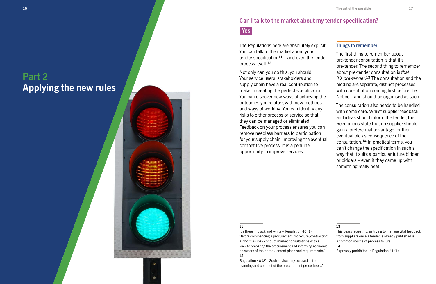## **Can I talk to the market about my tender specification?**

**Yes**

The Regulations here are absolutely explicit. You can talk to the market about your tender specification**11** – and even the tender process itself.**12**

Not only can you do this, you should. Your service users, stakeholders and supply chain have a real contribution to make in creating the perfect specification. You can discover new ways of achieving the outcomes you're after, with new methods and ways of working.You can identify any risks to either process or service so that they can be managed or eliminated. Feedback on your process ensures you can remove needless barriers to participation for your supply chain, improving the eventual competitive process. It is a genuine opportunity to improve services.

### **Things to remember**

The first thing to remember about pre-tender consultation is that it's pre-tender.The second thing to remember about pre-tender consultation is *that it's pre-tender*.**13** The consultation and the bidding are separate, distinct processes – with consultation coming first before the Notice – and should be organised as such.

The consultation also needs to be handled with some care. Whilst supplier feedback and ideas should inform the tender, the Regulations state that no supplier should gain a preferential advantage for their eventual bid as consequence of the consultation.**14** In practical terms, you can't change the specification in such a way that it suits a particular future bidder or bidders – even if they came up with something really neat.

#### **11**

It's there in black and white – Regulation 40 (1): 'Before commencing a procurement procedure, contracting authorities may conduct market consultations with a view to preparing the procurement and informing economic operators of their procurement plans and requirements.' **12**

Regulation 40 (3): 'Such advice may be used in the planning and conduct of the procurement procedure…'

#### **13**

This bears repeating, as trying to manage vital feedback from suppliers once a tender is already published is a common source of process failure. **14**

Expressly prohibited in Regulation 41 (1).

# **Part 2 Applying the new rules**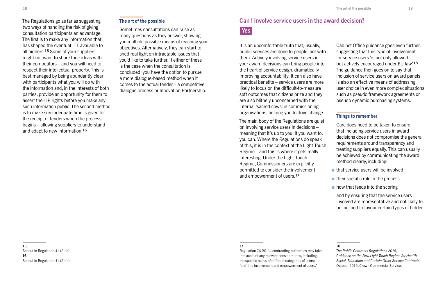The Regulations go as far as suggesting two ways of handling the risk of giving consultation participants an advantage. The first is to make any information that has shaped the eventual ITT available to all bidders.**15** Some of your suppliers might not want to share their ideas with their competitors – and you will need to respect their intellectual property.This is best managed by being abundantly clear with participants what you will do with the information and, in the interests of both parties, provide an opportunity for them to assert their IP rights before you make any such information public.The second method is to make sure adequate time is given for the receipt of tenders when the process begins – allowing suppliers to understand and adapt to new information.**16**

### **The art of the possible**

Sometimes consultations can raise as many questions as they answer, showing you multiple possible means of reaching your objectives. Alternatively, they can start to shed real light on intractable issues that you'd like to take further. If either of these is the case when the consultation is concluded, you have the option to pursue a more dialogue-based method when it comes to the actual tender – a competitive dialogue process or Innovation Partnership.

## **Can I involve service users in the award decision?**

## **Yes**

It is an uncomfortable truth that, usually, public services are done to people, not with them. Actively involving service users in your award decisions can bring people into the heart of service design, dramatically improving accountability. It can also have practical benefits – service users are more likely to focus on the difficult-to-measure soft outcomes that citizens prize and they are also blithely unconcerned with the internal 'sacred cows' in commissioning organisations, helping you to drive change.

The main body of the Regulations are quiet on involving service users in decisions – meaning that it's up to you. If you want to, you can. Where the Regulations do speak of this, it is in the context of the Light Touch Regime – and this is where it gets really interesting. Under the Light Touch Regime, Commissioners are explicitly permitted to consider the involvement and empowerment of users.**17**

Cabinet Office guidance goes even further, suggesting that this type of involvement for service users 'is not only allowed but actively encouraged under EU law'.**18** The guidance then goes on to say that inclusion of service users on award panels is also an effective means of addressing user choice in even more complex situations such as pseudo framework agreements or pseudo dynamic purchasing systems.

### **Things to remember**

Care does need to be taken to ensure that including service users in award decisions does not compromise the general requirements around transparency and treating suppliers equally.This can usually be achieved by communicating the award method clearly, including:

- that service users will be involved
- their specific role in the process
- how that feeds into the scoring

and by ensuring that the service users involved are representative and not likely to be inclined to favour certain types of bidder.

**15** Set out in Regulation 41 (2) (a). **16** Set out in Regulation 41 (2) (b).

#### **17**

Regulation 76 (8): '…contracting authorities may take into account any relevant considerations, including… the specific needs of different categories of users; [and] the involvement and empowerment of users.'

### **18**

*The Public Contracts Regulations 2015, Guidance on the New Light Touch Regime for Health, Social, Education and Certain Other Service Contracts*, October 2015, Crown Commercial Service.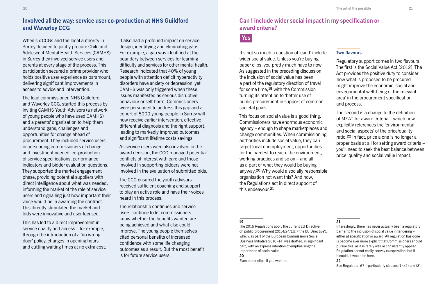When six CCGs and the local authority in Surrey decided to jointly procure Child and Adolescent Mental Health Services (CAMHS) in Surrey they involved service users and parents at every stage of the process.This participation secured a prime provider who holds positive user experience as paramount, delivering significant improvements in access to advice and intervention.

The lead commissioner, NHS Guildford and Waverley CCG, started this process by inviting CAMHS Youth Advisors (a network of young people who have used CAMHS) and a parents' organisation to help them understand gaps, challenges and opportunities for change ahead of procurement.They included service users in persuading commissioners of change and investment needed, co-production of service specifications, performance indicators and bidder evaluation questions. They supported the market engagement phase, providing potential suppliers with direct intelligence about what was needed, informing the market of the role of service users and signalling just how important their voice would be in awarding the contract. This directly stimulated the market and bids were innovative and user focused.

This has led to a direct improvement in service quality and access – for example, through the introduction of a 'no wrong door' policy, changes in opening hours and cutting waiting times at no extra cost. It also had a profound impact on service design, identifying and eliminating gaps. For example, a gap was identified at the boundary between services for learning difficulty and services for other mental health. Research indicated that 40% of young people with attention deficit hyperactivity disorders have anxiety or depression, yet CAMHS was only triggered when these issues manifested as serious disruptive behaviour or self-harm. Commissioners were persuaded to address this gap and a cohort of 5000 young people in Surrey will now receive earlier intervention, effective differential diagnosis and the right support, leading to markedly improved outcomes and significant lifetime costs savings.

As service users were also involved in the award decision, the CCG managed potential conflicts of interest with care and those involved in supporting bidders were not involved in the evaluation of submitted bids.

The CCG ensured the youth advisors received sufficient coaching and support to play an active role and have their voices heard in this process.

The relationship continues and service users continue to let commissioners know whether the benefits wanted are being achieved and what else could improve.The young people themselves cited personal benefits of increased confidence with some life changing outcomes as a result. But the most benefit is for future service users.

### **Can I include wider social impact in my specification or award criteria?**

### **Yes**

It's not so much a question of 'can I' include wider social value. Unless you're buying paper clips, you pretty much have to now. As suggested in the preceding discussion, the inclusion of social value has been a part of the regulatory direction of travel for some time,**19** with the Commission turning its attention to 'better use of public procurement in support of common societal goals'.

This focus on social value is a good thing. Commissioners have enormous economic agency – enough to shape marketplaces and change communities. When commissioning authorities include social value, they can target local unemployment, opportunities for the hardest to reach, the environment, working practices and so on – and all as a part of what they would be buying anyway.**20** Why would a socially responsible organisation not want this? And now, the Regulations act in direct support of this endeavour.**<sup>21</sup>**

### **Two flavours**

Regulatory support comes in two flavours. The first is the Social Value Act (2012).The Act provides the positive duty to consider 'how what is proposed to be procured might improve the economic, social and environmental well-being of the relevant area' in the procurement specification and process.

The second is a change to the definition of MEAT for award criteria – which now explicitly references the 'environmental and social aspects' of the price/quality ratio.**22** In fact, price alone is no longer a proper basis at all for setting award criteria – you'll need to seek the best balance between price, quality and social value impact.

### **19**

The 2015 Regulations apply the current EU Directive on public procurement (2014/24/EU) ('the EU Directive'), which, as part of the European Commission's Social Business Initiative 2010–14, was drafted, in significant part, with an express intention of emphasising the importance of social value.

**20**

Even paper clips, if you want to.

### **21**

Interestingly, there has never actually been a regulatory barrier to the inclusion of social value in tendering – either at specification or award. All regulation has done is become ever more explicit that Commissioners should pursue this, as it is rarely well or consistently applied. Regulation cannot easily convey exasperation, but if it could, it would be here. **22**

See Regulation 67 – particularly clauses (1), (2) and (3).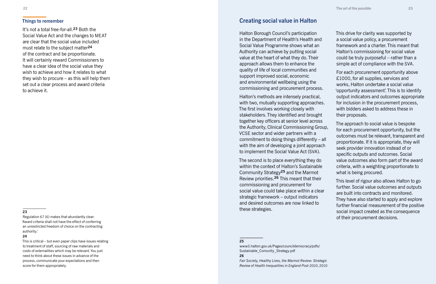It's not a total free-for-all.**23** Both the Social Value Act and the changes to MEAT are clear that the social value included must relate to the subject matter**24** of the contract and be proportionate. It will certainly reward Commissioners to have a clear idea of the social value they wish to achieve and how it relates to what they wish to procure – as this will help them set out a clear process and award criteria to achieve it.

### **23**

Regulation 67 ( 6) makes that abundantly clear: 'Award criteria shall not have the effect of conferring an unrestricted freedom of choice on the contracting authority.'

### **24**

This is critical – but even paper clips have issues relating to treatment of staff, sourcing of raw materials and costs of externalities which may be relevant.You just need to think about these issues in advance of the process, communicate your expectations and then score for them appropriately.

### **Creating social value in Halton**

Halton Borough Council's participation in the Department of Health's Health and Social Value Programme shows what an Authority can achieve by putting social value at the heart of what they do.Their approach allows them to enhance the quality of life of local communities and support improved social, economic and environmental wellbeing using the commissioning and procurement process.

Halton's methods are intensely practical, with two, mutually supporting approaches. The first involves working closely with stakeholders.They identified and brought together key officers at senior level across the Authority, Clinical Commissioning Group, VCSE sector and wider partners with a commitment to doing things differently – all with the aim of developing a joint approach to implement the Social Value Act (SVA).

The second is to place everything they do within the context of Halton's Sustainable Community Strategy**25** and the Marmot Review priorities.**26** This meant that their commissioning and procurement for social value could take place within a clear strategic framework – output indicators and desired outcomes are now linked to these strategies.

This drive for clarity was supported by a social value policy, a procurement framework and a charter.This meant that Halton's commissioning for social value could be truly purposeful – rather than a simple act of compliance with the SVA .

For each procurement opportunity above £1000, for all supplies, services and works, Halton undertake a social value 'opportunity assessment'.This is to identify output indicators and outcomes appropriate for inclusion in the procurement process, with bidders asked to address these in their proposals.

The approach to social value is bespoke for each procurement opportunity, but the outcomes must be relevant, transparent and proportionate. If it is appropriate, they will seek provider innovation instead of or specific outputs and outcomes. Social value outcomes also form part of the award criteria, with a weighting proportionate to what is being procured.

This level of rigour also allows Halton to go further. Social value outcomes and outputs are built into contracts and monitored. They have also started to apply and explore further financial measurement of the positive social impact created as the consequence of their procurement decisions.

#### **25**

www 3.halton.gov.uk/Pages/councildemocracy/pdfs/ Sustainable\_Comunity\_Strategy.pdf **26**

*Fair Society, Healthy Lives, the Marmot Review: Strategic Review of Health Inequalities in England Post-2010* , 2010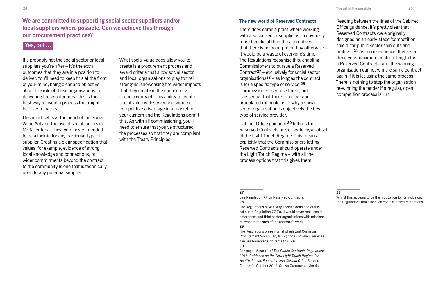### **Yes, but…**

It's probably not the social sector or local suppliers you're after – it's the extra outcomes that they are in a position to deliver.You'll need to keep this at the front of your mind, being clear and objective about the role of these organisations in delivering those outcomes.This is the best way to avoid a process that might be discriminatory.

This mind-set is at the heart of the Social Value Act and the use of social factors in MEAT criteria.They were never intended to be a lock-in for any particular type of supplier. Creating a clear specification that values, for example, evidence of strong local knowledge and connections; or wider commitments beyond the contract to the community is one that is technically open to any potential supplier.

What social value does allow you to create is a procurement process and award criteria that allow social sector and local organisations to play to their strengths, showcasing the wider impacts that they create in the context of a specific contract.This ability to create social value is deservedly a source of competitive advantage in a market for your custom and the Regulations permit this. As with all commissioning, you'll need to ensure that you've structured the processes so that they are compliant with the Treaty Principles.

### **The new world of Reserved Contracts**

There does come a point where working with a social sector supplier is so obviously more beneficial than the alternatives that there is no point pretending otherwise – it would be a waste of everyone's time. The Regulations recognise this, enabling Commissioners to pursue a Reserved Contract**27** – exclusively for social sector organisations**28** – as long as the contract is for a specific type of service.**29** Commissioners can use these, but it is essential that there is a clear and articulated rationale as to why a social sector organisation is objectively the best type of service provider.

Cabinet Office guidance**30** tells us that Reserved Contracts are, essentially, a subset of the Light Touch Regime.This means explicitly that the Commissioners letting Reserved Contracts should operate under the Light Touch Regime – with all the process options that this gives them.

**24 The art of the possible 25**

Reading between the lines of the Cabinet Office guidance, it's pretty clear that Reserved Contracts were originally designed as an early-stage 'competition shield' for public sector spin outs and mutuals.**31** As a consequence, there is a three year maximum contract length for a Reserved Contract – and the winning organisation cannot win the same contract again if it is let using the same process. There is nothing to stop the organisation re-winning the tender if a regular, open competition process is run.

#### **27**

See Regulation 77 on Reserved Contracts. **28**

The Regulations have a very specific definition of this, set out in Regulation 77 (3). It would cover most social enterprises and third sector organisations with missions relevant to the area of the contract's work.

#### **29**

The Regulations present a list of relevant Common Procurement Vocabulary (CPV) codes of which services can use Reserved Contracts (77 (2)). **30**

#### See page 15 para 1 of *The Public Contracts Regulations 2015, Guidance on the New Light Touch Regime for Health, Social, Education and Certain Other Service Contracts*, October 2015, Crown Commercial Service.

**31**

Whilst this appears to be the motivation for its inclusion, the Regulations make no such context-based restrictions.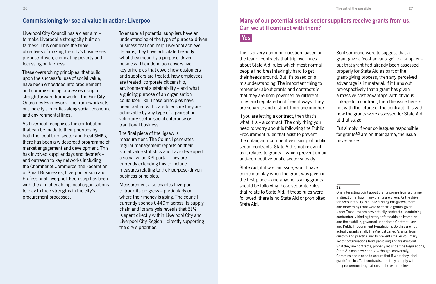### **Commissioning for social value in action: Liverpool**

Liverpool City Council has a clear aim – to make Liverpool a strong city built on fairness.This combines the triple objectives of making the city's businesses purpose-driven, eliminating poverty and focussing on fairness.

These overarching principles, that build upon the successful use of social value, have been embedded into procurement and commissioning processes using a straightforward framework – the Fair City Outcomes Framework.The framework sets out the city's priorities along social, economic and environmental lines.

As Liverpool recognises the contribution that can be made to their priorities by both the local third sector and local SMEs, there has been a widespread programme of market engagement and development.This has involved supplier days and debriefs – and outreach to key networks including the Chamber of Commerce, the Federation of Small Businesses, Liverpool Vision and Professional Liverpool. Each step has been with the aim of enabling local organisations to play to their strengths in the city's procurement processes.

To ensure all potential suppliers have an understanding of the type of purpose-driven business that can help Liverpool achieve its aims, they have articulated exactly what they mean by a purpose-driven business.Their definition covers five key principles that cover: how customers and suppliers are treated, how employees are treated, corporate citizenship, environmental sustainability – and what a guiding purpose of an organisation could look like.These principles have been crafted with care to ensure they are achievable by any type of organisation – voluntary sector, social enterprise or traditional business.

The final piece of the jigsaw is measurement.The Council generates regular management reports on their social value statistics and have developed a social value KPI portal.They are currently extending this to include measures relating to their purpose-driven business principles.

Measurement also enables Liverpool to track its progress – particularly on where their money is going. The council currently spends £449m across its supply chain and its analysis reveals that 51% is spent directly within Liverpool City and Liverpool City Region – directly supporting the city's priorities.

### **Many of our potential social sector suppliers receive grants from us. Can we still contract with them?**

**Yes**

This is a very common question, based on the fear of contracts that trip over rules about State Aid, rules which most normal people find breathtakingly hard to get their heads around. But it's based on a misunderstanding.The important thing to remember about grants and contracts is that they are both governed by different rules and regulated in different ways.They are separate and distinct from one another.

If you are letting a contract, then that's what it is  $-$  a contract. The only thing you need to worry about is following the Public Procurement rules that exist to prevent the unfair, anti-competitive issuing of public sector contracts. State Aid is not relevant as it relates to grants – which prevent unfair, anti-competitive public sector subsidy.

State Aid, if it was an issue, would have come into play when the grant was given in the first place – and anyone issuing grants should be following those separate rules that relate to State Aid. If those rules were followed, there is no State Aid or prohibited State Aid.

So if someone were to suggest that a grant gave a 'cost advantage' to a supplier – but that grant had already been assessed properly for State Aid as part of the grant-giving process, then any perceived advantage is immaterial. If it turns out retrospectively that a grant has given a massive cost advantage with obvious linkage to a contract, then the issue here is not with the letting of the contract. It is with how the grants were assessed for State Aid at that stage.

Put simply, if your colleagues responsible for grants**32** are on their game, the issue never arises.

#### **32**

One interesting point about grants comes from a change in direction in how many grants are given. As the drive for accountability in public funding has grown, more and more things that were once 'true grants' given under Trust Law are now actually contracts – containing contractually binding terms, enforceable deliverables and the suchlike, governed under both Contract Law and Public Procurement Regulations. So they are not actually grants at all.They're just called 'grants' from custom and practice and to prevent smaller voluntary sector organisations from panicking and freaking out. So if they are contracts, properly let under the Regulations, State Aid can never apply ... though, conversely, Commissioners need to ensure that if what they label 'grants' are in effect contracts, that they comply with the procurement regulations to the extent relevant.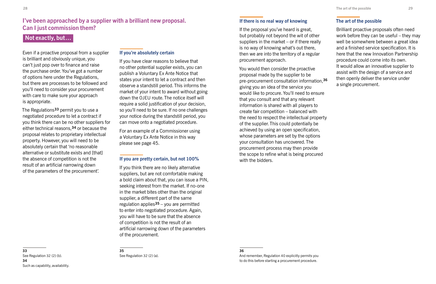**33**

**34**

See Regulation 32 (2) (b).

Such as capability, availability.

**I've been approached by a supplier with a brilliant new proposal. Can I just commission them?**

### **Not exactly, but…**

Even if a proactive proposal from a supplier is brilliant and obviously unique, you can't just pop over to finance and raise the purchase order.You've got a number of options here under the Regulations, but there are processes to be followed and you'll need to consider your procurement with care to make sure your approach is appropriate.

The Regulations**33** permit you to use a negotiated procedure to let a contract if you think there can be no other suppliers for either technical reasons,**34** or because the proposal relates to proprietary intellectual property. However, you will need to be absolutely certain that 'no reasonable alternative or substitute exists and [that] the absence of competition is not the result of an artificial narrowing down of the parameters of the procurement'.

### **If you're absolutely certain**

If you have clear reasons to believe that no other potential supplier exists, you can publish a Voluntary Ex Ante Notice that states your intent to let a contract and then observe a standstill period.This informs the market of your intent to award without going down the OJEU route.The notice itself will require a solid justification of your decision, so you'll need to be sure. If no one challenges your notice during the standstill period, you can move onto a negotiated procedure.

For an example of a Commissioner using a Voluntary Ex Ante Notice in this way please see page 45.

### **If you are pretty certain, but not 100%**

If you think there are no likely alternative suppliers, but are not comfortable making a bold claim about that, you can issue a PIN, seeking interest from the market. If no-one in the market bites other than the original supplier, a different part of the same regulation applies**35** – you are permitted to enter into negotiated procedure. Again, you will have to be sure that the absence of competition is not the result of an artificial narrowing down of the parameters of the procurement.

**35** See Regulation 32 (2) (a).

### **If there is no real way of knowing**

If the proposal you've heard is great, but probably not beyond the wit of other suppliers in the market – or if there really is no way of knowing what's out there, then we are into the territory of a regular procurement approach.

You would then consider the proactive proposal made by the supplier to be pre-procurement consultation information,**36** giving you an idea of the service you would like to procure.You'll need to ensure that you consult and that any relevant information is shared with all players to create fair competition – balanced with the need to respect the intellectual property of the supplier.This could potentially be achieved by using an open specification, whose parameters are set by the options your consultation has uncovered.The procurement process may then provide the scope to refine what is being procured with the bidders.

### **The art of the possible**

Brilliant proactive proposals often need work before they can be useful – they may well be somewhere between a great idea and a finished service specification. It is here that the new Innovation Partnership procedure could come into its own. It would allow an innovative supplier to assist with the design of a service and then openly deliver the service under a single procurement.

#### **36**

And remember, Regulation 40 explicitly permits you to do this before starting a procurement procedure.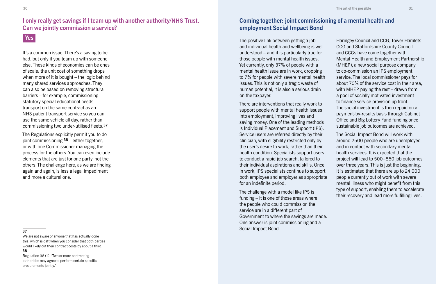### **I only really get savings if I team up with another authority/NHS Trust. Can we jointly commission a service?**

### **Yes**

It's a common issue. There's a saving to be had, but only if you team up with someone else.These kinds of economies can be ones of scale: the unit cost of something drops when more of it is bought – the logic behind many shared services approaches.They can also be based on removing structural barriers – for example, commissioning statutory special educational needs transport on the same contract as an NHS patient transport service so you can use the same vehicle all day, rather than commissioning two under-utilised fleets.**37**

The Regulations explicitly permit you to do joint commissioning **38** – either together, or with one Commissioner managing the process for the others.You can even include elements that are just for one party, not the others.The challenge here, as we are finding again and again, is less a legal impediment and more a cultural one.

### **37**

We are not aware of anyone that has actually done this, which is daft when you consider that both parties would likely cut their contract costs by about a third. **38**

Regulation 38 (1): 'Two or more contracting authorities may agree to perform certain specific procurements jointly.'

### **Coming together: joint commissioning of a mental health and employment Social Impact Bond**

The positive link between getting a job and individual health and wellbeing is well understood – and it is particularly true for those people with mental health issues. Yet currently, only 37% of people with a mental health issue are in work, dropping to 7% for people with severe mental health issues.This is not only a tragic waste of human potential, it is also a serious drain on the taxpayer.

There are interventions that really work to support people with mental health issues into employment, improving lives and saving money. One of the leading methods is Individual Placement and Support (IPS). Service users are referred directly by their clinician, with eligibility restricted only by the user's desire to work, rather than their health condition. Specialists support users to conduct a rapid job search, tailored to their individual aspirations and skills. Once in work, IPS specialists continue to support both employee and employer as appropriate for an indefinite period.

The challenge with a model like IPS is funding – it is one of those areas where the people who could commission the service are in a different part of Government to where the savings are made. One answer is joint commissioning and a Social Impact Bond.

Haringey Council and CCG,Tower Hamlets CCG and Staffordshire County Council and CCGs have come together with Mental Health and Employment Partnership (MHEP), a new social purpose company to co-commission an IPS employment service.The local commissioner pays for about 70% of the service cost in their area, with MHEP paying the rest – drawn from a pool of socially motivated investment to finance service provision up front. The social investment is then repaid on a payment-by-results basis through Cabinet Office and Big Lottery Fund funding once sustainable job outcomes are achieved.

The Social Impact Bond will work with around 2500 people who are unemployed and in contact with secondary mental health services. It is expected that the project will lead to 500–850 job outcomes over three years.This is just the beginning. It is estimated that there are up to 24,000 people currently out of work with severe mental illness who might benefit from this type of support, enabling them to accelerate their recovery and lead more fulfilling lives.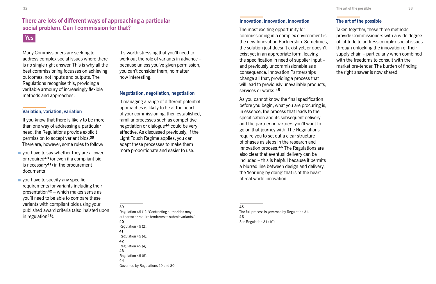### **There are lots of different ways of approaching a particular social problem. Can I commission for that?**

### **Yes**

Many Commissioners are seeking to address complex social issues where there is no single right answer.This is why all the best commissioning focusses on achieving outcomes, not inputs and outputs.The Regulations recognise this, providing a veritable armoury of increasingly flexible methods and approaches.

### **Variation, variation, variation**

If you know that there is likely to be more than one way of addressing a particular need, the Regulations provide explicit permission to accept variant bids.**<sup>39</sup>** There are, however, some rules to follow:

- you have to say whether they are allowed or required**40** (or even if a compliant bid is necessary**41**) in the procurement documents
- $\blacksquare$  you have to specify any specific requirements for variants including their presentation**42** – which makes sense as you'll need to be able to compare these variants with compliant bids using your published award criteria (also insisted upon in regulation**43**).

It's worth stressing that you'll need to work out the role of variants in advance – because unless you've given permission, you can't consider them, no matter how interesting.

### **Negotiation, negotiation, negotiation**

If managing a range of different potential approaches is likely to be at the heart of your commissioning, then established, familiar processes such as competitive negotiation or dialogue**44** could be very effective. As discussed previously, if the Light Touch Regime applies, you can adapt these processes to make them more proportionate and easier to use.

**39**

Regulation 45 (1): 'Contracting authorities may authorise or require tenderers to submit variants.' **40** Regulation 45 (2). **41** Regulation 45 (4). **42** Regulation 45 (4). **43** Regulation 45 (5). **44** Governed by Regulations 29 and 30.

#### **Innovation, innovation, innovation**

The most exciting opportunity for commissioning in a complex environment is the new Innovation Partnership. Sometimes, the solution just doesn't exist yet, or doesn't exist yet in an appropriate form, leaving the specification in need of supplier input – and previously uncommissionable as a consequence. Innovation Partnerships change all that, providing a process that will lead to previously unavailable products, services or works.**45**

As you cannot know the final specification before you begin, what you are procuring is, in essence, the process that leads to the specification and its subsequent delivery – and the partner or partners you'll want to go on that journey with.The Regulations require you to set out a clear structure of phases as steps in the research and innovation process.**46** The Regulations are also clear that eventual delivery can be included – this is helpful because it permits a blurred line between design and delivery, the 'learning by doing' that is at the heart of real world innovation.

#### **45**

The full process is governed by Regulation 31. **46** See Regulation 31 (10).

### **The art of the possible**

Taken together, these three methods provide Commissioners with a wide degree of latitude to address complex social issues through unlocking the innovation of their supply chain – particularly when combined with the freedoms to consult with the market pre-tender.The burden of finding the right answer is now shared.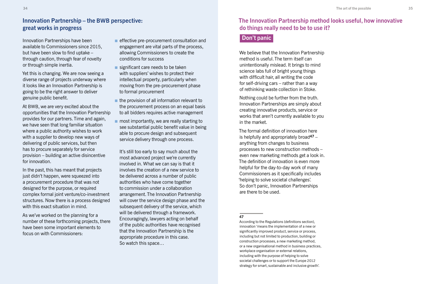### **Innovation Partnership – the BWB perspective: great works in progress**

Innovation Partnerships have been available to Commissioners since 2015, but have been slow to find uptake – through caution, through fear of novelty or through simple inertia.

Yet this is changing. We are now seeing a diverse range of projects underway where it looks like an Innovation Partnership is going to be the right answer to deliver genuine public benefit.

At BWB, we are very excited about the opportunities that the Innovation Partnership provides for our partners.Time and again, we have seen that long familiar situation where a public authority wishes to work with a supplier to develop new ways of delivering of public services, but then has to procure separately for service provision – building an active disincentive for innovation.

In the past, this has meant that projects just didn't happen, were squeezed into a procurement procedure that was not designed for the purpose, or required complex formal joint venture/co-investment structures. Now there is a process designed with this exact situation in mind.

As we've worked on the planning for a number of these forthcoming projects, there have been some important elements to focus on with Commissioners:

- effective pre-procurement consultation and engagement are vital parts of the process, allowing Commissioners to create the
- conditions for success
- $\blacksquare$  significant care needs to be taken with suppliers' wishes to protect their intellectual property, particularly when moving from the pre-procurement phase to formal procurement
- $\blacksquare$  the provision of all information relevant to the procurement process on an equal basis to all bidders requires active management
- $\blacksquare$  most importantly, we are really starting to see substantial public benefit value in being able to procure design and subsequent service delivery through one process.

It's still too early to say much about the most advanced project we're currently involved in. What we can say is that it involves the creation of a new service to be delivered across a number of public authorities who have come together to commission under a collaboration arrangement.The Innovation Partnership will cover the service design phase and the subsequent delivery of the service, which will be delivered through a framework. Encouragingly, lawyers acting on behalf of the public authorities have recognised that the Innovation Partnership is the appropriate procedure in this case. So watch this space…

### **The Innovation Partnership method looks useful, how innovative do things really need to be to use it?**

### **Don't panic**

We believe that the Innovation Partnership method is useful.The term itself can unintentionally mislead. It brings to mind science labs full of bright young things with difficult hair, all writing the code for self-driving cars – rather than a way of rethinking waste collection in Stoke.

Nothing could be further from the truth. Innovation Partnerships are simply about creating innovative products, service or works that aren't currently available to you in the market.

The formal definition of innovation here is helpfully and appropriately broad**47** – anything from changes to business processes to new construction methods – even new marketing methods get a look in. The definition of innovation is even more helpful for the day-to-day work of many Commissioners as it specifically includes 'helping to solve societal challenges'. So don't panic, Innovation Partnerships are there to be used.

According to the Regulations (definitions section), innovation 'means the implementation of a new or significantly improved product, service or process, including but not limited to production, building or construction processes, a new marketing method, or a new organisational method in business practices, workplace organisation or external relations, including with the purpose of helping to solve societal challenges or to support the Europe 2012 strategy for smart, sustainable and inclusive growth'.

**<sup>47</sup>**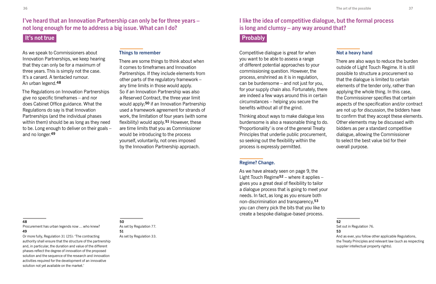**I've heard that an Innovation Partnership can only be for three years – not long enough for me to address a big issue. What can I do?**

### **It's not true**

As we speak to Commissioners about Innovation Partnerships, we keep hearing that they can only be for a maximum of three years.This is simply not the case. It's a canard. A tentacled rumour. An urban legend.**48**

The Regulations on Innovation Partnerships give no specific timeframes – and nor does Cabinet Office guidance. What the Regulations do say is that Innovation Partnerships (and the individual phases within them) should be as long as they need to be. Long enough to deliver on their goals – and no longer.**49**

### **Things to remember**

There are some things to think about when it comes to timeframes and Innovation Partnerships. If they include elements from other parts of the regulatory framework – any time limits in those would apply. So if an Innovation Partnership was also a Reserved Contract, the three year limit would apply;**50** if an Innovation Partnership used a framework agreement for strands of work, the limitation of four years (with some flexibility) would apply.**51** However, these are time limits that you as Commissioner would be introducing to the process yourself, voluntarily, not ones imposed by the Innovation Partnership approach.

### **I like the idea of competitive dialogue, but the formal process is long and clumsy – any way around that?**

### **Probably**

Competitive dialogue is great for when you want to be able to assess a range of different potential approaches to your commissioning question. However, the process, enshrined as it is in regulation, can be burdensome – and not just for you, for your supply chain also. Fortunately, there are indeed a few ways around this in certain circumstances – helping you secure the benefits without all of the grind.

Thinking about ways to make dialogue less burdensome is also a reasonable thing to do. 'Proportionality' is one of the general Treaty Principles that underlie public procurement, so seeking out the flexibility within the process is expressly permitted.

### **Regime? Change.**

As we have already seen on page 9, the Light Touch Regime**52** – where it applies – gives you a great deal of flexibility to tailor a dialogue process that is going to meet your needs. In fact, as long as you ensure both non-discrimination and transparency,**<sup>53</sup>** you can cherry pick the bits that you like to create a bespoke dialogue-based process.

### **Not a heavy hand**

There are also ways to reduce the burden outside of Light Touch Regime. It is still possible to structure a procurement so that the dialogue is limited to certain elements of the tender only, rather than applying the whole thing. In this case, the Commissioner specifies that certain aspects of the specification and/or contract are not up for discussion, the bidders have to confirm that they accept these elements. Other elements may be discussed with bidders as per a standard competitive dialogue, allowing the Commissioner to select the best value bid for their overall purpose.

## **48**

Procurement has urban legends now ... who knew? **49**

Or more fully, Regulation 31 (25): 'The contracting authority shall ensure that the structure of the partnership and, in particular, the duration and value of the different phases reflect the degree of innovation of the proposed solution and the sequence of the research and innovation activities required for the development of an innovative solution not yet available on the market.'

### **50**

As set by Regulation 77. **51**

As set by Regulation 33.

### **52**

Set out in Regulation 76.

**53**

And as ever, you follow other applicable Regulations, the Treaty Principles and relevant law (such as respecting supplier intellectual property rights).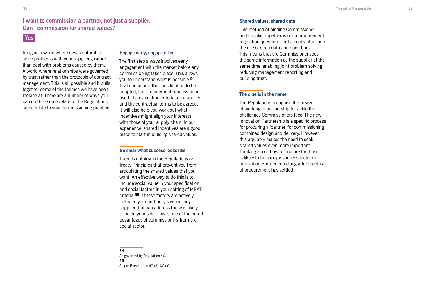### **Yes**

Imagine a world where it was natural to solve problems with your suppliers, rather than deal with problems caused by them. A world where relationships were governed by trust rather than the protocols of contract management.This is all possible and it pulls together some of the themes we have been looking at.There are a number of ways you can do this; some relate to the Regulations, some relate to your commissioning practice.

### **Engage early, engage often**

The first step always involves early engagement with the market before any commissioning takes place.This allows you to understand what is possible.**54** That can inform the specification to be adopted, the procurement process to be used, the evaluation criteria to be applied and the contractual terms to be agreed. It will also help you work out what incentives might align your interests with those of your supply chain. In our experience, shared incentives are a good place to start in building shared values.

### **Be clear what success looks like**

There is nothing in the Regulations or Treaty Principles that prevent you from articulating the shared values that you want. An effective way to do this is to include social value in your specification and social factors in your setting of MEAT criteria.**55** If these factors are actively linked to your authority's vision, any supplier that can address these is likely to be on your side.This is one of the noted advantages of commissioning from the social sector.

### **Shared values, shared data**

One method of binding Commissioner and supplier together is not a procurement regulation question – but a contractual one – the use of open data and open book. This means that the Commissioner sees the same information as the supplier at the same time, enabling joint problem solving, reducing management reporting and building trust.

### **The clue is in the name**

The Regulations recognise the power of working in partnership to tackle the challenges Commissioners face.The new Innovation Partnership is a specific process for procuring a 'partner' for commissioning combined design and delivery. However, this arguably makes the need to seek shared values even more important. Thinking about how to procure for those is likely to be a major success factor in Innovation Partnerships long after the dust of procurement has settled.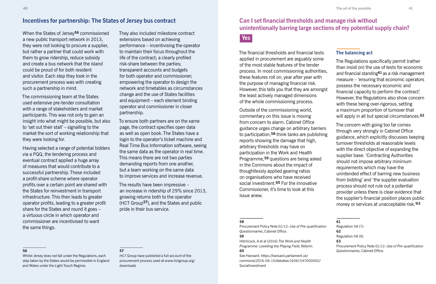### **Incentives for partnership: The States of Jersey bus contract**

When the States of Jersey**56** commissioned a new public transport network in 2013, they were not looking to procure a supplier, but rather a partner that could work with them to grow ridership, reduce subsidy and create a bus network that the island could be proud of for both resident and visitor. Each step they took in the procurement process was with creating such a partnership in mind.

The commissioning team at the States used extensive pre-tender consultation with a range of stakeholders and market participants.This was not only to gain an insight into what might be possible, but also to 'set out their stall' – signalling to the market the sort of working relationship that they were looking for.

Having selected a range of potential bidders via a PQQ, the tendering process and eventual contract applied a huge array of measures that would contribute to a successful partnership.These included a profit-share scheme where operator profits over a certain point are shared with the States for reinvestment in transport infrastructure.This then leads to greater operator profits, leading to a greater profit share for the States and round it goes – a virtuous circle in which operator and commissioner are incentivised to want the same things.

They also included milestone contract extensions based on achieving performance – incentivising the operator to maintain their focus throughout the life of the contract; a clearly profiled risk-share between the parties; transparent accounts and budgets for both operator and commissioner; empowering the operator to design the network and timetables as circumstances change and the use of States facilities and equipment – each element binding operator and commissioner in closer partnership.

To ensure both partners are on the same page, the contract specifies open data as well as open book.The States have a login to the operator's ticket machine and Real Time Bus Information software, seeing the same data as the operator in real time. This means there are not two parties demanding reports from one another, but a team working on the same data to improve services and increase revenue.

The results have been impressive – an increase in ridership of 29% since 2013, growing returns both to the operator (HCT Group**57**), and the States and public pride in their bus service.

### **Can I set financial thresholds and manage risk without unintentionally barring large sections of my potential supply chain?**



The financial thresholds and financial tests applied in procurement are arguably some of the most stable features of the tender process. In most commissioning authorities, these features roll on, year after year with the purpose of managing financial risk. However, this tells you that they are amongst the least actively managed dimensions of the whole commissioning process.

Outside of the commissioning world, commentary on this issue is moving from concern to alarm. Cabinet Office guidance urges change on arbitrary barriers to participation,**58** think tanks are publishing reports showing the damage that high, arbitrary thresholds may have on participation in the Work and Health Programme,**59** questions are being asked in the Commons about the impact of thoughtlessly applied gearing ratios on organisations who have received social investment.**60** For the innovative Commissioner, it's time to look at this issue anew.

#### **58**

Procurement Policy Note 01/12: *Use of Pre-qualification Questionnaires*, Cabinet Office.

### **59**

Hitchcock, A et al (2016) *The Work and Health Programme: Levelling the Playing Field*, Reform.

#### **60**

See Hansard: https://hansard.parliament.uk/ commons/2016-06-15/debates/16061547000002/ SocialInvestment

### **The balancing act**

The Regulations specifically permit (rather than insist on) the use of tests for economic and financial standing**61** as a risk management measure – 'ensuring that economic operators possess the necessary economic and financial capacity to perform the contract'. However, the Regulations also show concern with these being over-rigorous, setting a maximum proportion of turnover that will apply in all but special circumstances.**62**

The concern with going too far comes through very strongly in Cabinet Office guidance, which explicitly discusses keeping turnover thresholds at reasonable levels with the direct objective of expanding the supplier base: 'Contracting Authorities should not impose arbitrary minimum requirements which may have the unintended effect of barring new business from bidding' and 'the supplier evaluation process should not rule out a potential provider unless there is clear evidence that the supplier's financial position places public money or services at unacceptable risk.'**63**

#### **61**

Regulation 58 (7). **62**

Regulation 58 (9).

**63** Procurement Policy Note 01/12: *Use of Pre-qualification Questionnaires*, Cabinet Office.

**56**

Whilst Jersey does not fall under the Regulations, each step taken by the States would be permissible in England and Wales under the Light Touch Regime.

#### **57**

HCT Group have published a full account of the procurement process used at www.hctgroup.org/ downloads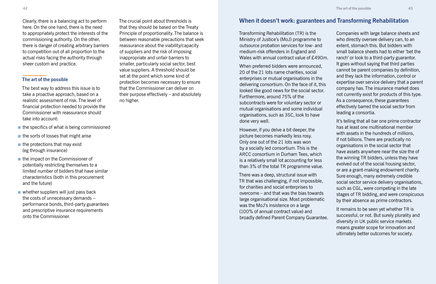Clearly, there is a balancing act to perform here. On the one hand, there is the need to appropriately protect the interests of the commissioning authority. On the other, there is danger of creating arbitrary barriers to competition out of all proportion to the actual risks facing the authority through sheer custom and practice.

### **The art of the possible**

The best way to address this issue is to take a proactive approach, based on a realistic assessment of risk.The level of financial protection needed to provide the Commissioner with reassurance should take into account:

- the specifics of what is being commissioned
- the sorts of losses that might arise
- $\blacksquare$  the protections that may exist (eg through insurance)
- the impact on the Commissioner of potentially restricting themselves to a limited number of bidders that have similar characteristics (both in this procurement and the future)
- $\blacksquare$  whether suppliers will just pass back the costs of unnecessary demands – performance bonds, third-party guarantees and prescriptive insurance requirements onto the Commissioner.

The crucial point about thresholds is that they should be based on the Treaty Principle of proportionality.The balance is between reasonable precautions that seek reassurance about the viability/capacity of suppliers and the risk of imposing inappropriate and unfair barriers to smaller, particularly social sector, best value suppliers. A threshold should be set at the point which some kind of protection becomes necessary to ensure that the Commissioner can deliver on their purpose effectively – and absolutely no higher.

### **When it doesn't work: guarantees and Transforming Rehabilitation**

Transforming Rehabilitation (TR) is the Ministry of Justice's (MoJ) programme to outsource probation services for low- and medium-risk offenders in England and Wales with annual contract value of £490m.

When preferred bidders were announced, 20 of the 21 lots name charities, social enterprises or mutual organisations in the delivering consortium. On the face of it, this looked like good news for the social sector. Furthermore, around 75% of the subcontracts were for voluntary sector or mutual organisations and some individual organisations, such as 3SC, look to have done very well.

However, if you delve a bit deeper, the picture becomes markedly less rosy. Only one out of the 21 lots was won by a socially led consortium.This is the ARCC consortium in Durham Tees, which is a relatively small lot accounting for less than 3% of the total TR programme value.

There was a deep, structural issue with TR that was challenging, if not impossible, for charities and social enterprises to overcome – and that was the bias towards large organisational size. Most problematic was the MoJ's insistence on a large (100% of annual contract value) and broadly defined Parent Company Guarantee.

Companies with large balance sheets and who directly oversee delivery can, to an extent, stomach this. But bidders with small balance sheets had to either 'bet the ranch' or look to a third-party guarantor. It goes without saying that third parties cannot be parent companies by definition, and they lack the information, control or expertise over service delivery that a parent company has.The insurance market does not currently exist for products of this type. As a consequence, these guarantees effectively barred the social sector from leading a consortia.

It's telling that all bar one prime contractor has at least one multinational member with assets in the hundreds of millions, if not billions.There are practically no organisations in the social sector that have assets anywhere near the size the of the winning TR bidders, unless they have evolved out of the social housing sector, or are a grant-making endowment charity. Sure enough, many extremely credible social sector service delivery organisations, such as CGL, were competing in the late stages of TR bidding, and were conspicuous by their absence as prime contractors.

It remains to be seen yet whether TR is successful, or not. But surely plurality and diversity in UK public service markets means greater scope for innovation and ultimately better outcomes for society.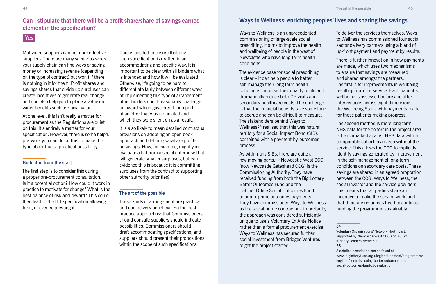**Can I stipulate that there will be a profit share/share of savings earned element in the specification?**

### **Yes**

Motivated suppliers can be more effective suppliers.There are many scenarios where your supply chain can find ways of saving money or increasing revenue (depending on the type of contract) but won't if there is nothing in it for them. Profit shares and savings shares that divide up surpluses can create incentives to generate real change – and can also help you to place a value on wider benefits such as social value.

At one level, this isn't really a matter for procurement as the Regulations are quiet on this. It's entirely a matter for your specification. However, there is some helpful pre-work you can do on this to make this type of contract a practical possibility.

### **Build it in from the start**

The first step is to consider this during a proper pre-procurement consultation. Is it a potential option? How could it work in practice to motivate for change? What is the best balance of risk and reward? This could then lead to the ITT specification allowing for it, or even requesting it.

Care is needed to ensure that any such specification is drafted in an accommodating and specific way. It is important to be clear with all bidders what is intended and how it will be evaluated. Otherwise, it's going to be hard to differentiate fairly between different ways of implementing this type of arrangement – other bidders could reasonably challenge an award which gave credit for a part of an offer that was not invited and which they were silent on as a result.

It is also likely to mean detailed contractual provisions on adopting an open book approach and defining what are profits or savings. How, for example, might you evaluate a bid from a social enterprise that will generate smaller surpluses, but can evidence this is because it is committing surpluses from the contract to supporting other authority priorities?

### **The art of the possible**

These kinds of arrangement are practical and can be very beneficial. So the best practice approach is: that Commissioners should consult; suppliers should indicate possibilities; Commissioners should draft accommodating specifications; and suppliers should present their propositions within the scope of such specifications.

### **Ways to Wellness: enriching peoples' lives and sharing the savings**

Ways to Wellness is an unprecedented commissioning of large-scale social prescribing. It aims to improve the health and wellbeing of people in the west of Newcastle who have long-term health conditions.

The evidence base for social prescribing is clear – it can help people to better self-manage their long term health conditions, improve their quality of life and dramatically reduce both GP visits and secondary healthcare costs.The challenge is that the financial benefits take some time to accrue and can be difficult to measure. The stakeholders behind Ways to Wellness**64** realised that this was natural territory for a Social Impact Bond (SIB), combined with a payment-by-outcomes process.

As with many SIBs, there are quite a few moving parts.**65** Newcastle West CCG (now Newcastle Gateshead CCG) is the Commissioning Authority.They have received funding from both the Big Lottery Better Outcomes Fund and the Cabinet Office Social Outcomes Fund to pump-prime outcomes payments. They have commissioned Ways to Wellness as the social prime contractor – importantly, the approach was considered sufficiently unique to use a Voluntary Ex Ante Notice rather than a formal procurement exercise. Ways to Wellness has secured further social investment from Bridges Ventures to get the project started.

To deliver the services themselves, Ways to Wellness has commissioned four social sector delivery partners using a blend of up-front payment and payment by results.

There is further innovation in how payments are made, which uses two mechanisms to ensure that savings are measured and shared amongst the partners. The first is for improvements in wellbeing resulting from the service. Each patient's wellbeing is assessed before and after interventions across eight dimensions – the Wellbeing Star – with payments made for those patients making progress.

The second method is more long term. NHS data for the cohort in the project area is benchmarked against NHS data with a comparable cohort in an area without the service.This allows the CCG to explicitly identify savings generated by improvement in the self-management of long-term conditions on secondary care costs.These savings are shared in an agreed proportion between the CCG, Ways to Wellness, the social investor and the service providers. This means that all parties share an incentive to make the service work, and that there are resources freed to continue funding the programme sustainably.

Voluntary Organisations' Network North East, supported by Newcastle West CCG and ACEVO (Charity Leaders Network). **65**

A detailed description can be found at www.biglotteryfund.org.uk/global-content/programmes/ england/commissioning-better-outcomes-andsocial-outcomes-fund/cboevaluation

**<sup>64</sup>**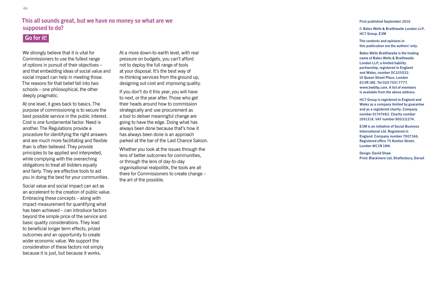### **This all sounds great, but we have no money so what are we supposed to do?**

### **Go for it!**

We strongly believe that it is vital for Commissioners to use the fullest range of options in pursuit of their objectives – and that embedding ideas of social value and social impact can help in meeting those. The reasons for that belief fall into two schools – one philosophical, the other deeply pragmatic.

At one level, it goes back to basics.The purpose of commissioning is to secure the best possible service in the public interest. Cost is one fundamental factor. Need is another.The Regulations provide a procedure for identifying the right answers and are much more facilitating and flexible than is often believed.They provide principles to be applied and interpreted, while complying with the overarching obligations to treat all bidders equally and fairly.They are effective tools to aid you in doing the best for your communities.

Social value and social impact can act as an accelerant to the creation of public value. Embracing these concepts – along with impact measurement for quantifying what has been achieved – can introduce factors beyond the simple price of the service and basic quality considerations.They lead to beneficial longer term effects, prized outcomes and an opportunity to create wider economic value. We support the consideration of these factors not simply because it is just, but because it works.

At a more down-to-earth level, with real pressure on budgets, you can't afford not to deploy the full range of tools at your disposal. It's the best way of re-thinking services from the ground up, designing out cost and improving quality.

If you don't do it this year, you will have to next, or the year after.Those who get their heads around how to commission strategically and use procurement as a tool to deliver meaningful change are going to have the edge. Doing what has always been done because that's how it has always been done is an approach parked at the bar of the Last Chance Saloon.

Whether you look at the issues through the lens of better outcomes for communities, or through the lens of day-to-day organisational realpolitik, the tools are all there for Commissioners to create change – the art of the possible.

#### **First published September 2016**

**© Bates Wells & Braithwaite London LLP , HCT Group, E 3 M**

**The contents and opinions in this publication are the authors' only.**

**Bates Wells Braithwaite is the trading name of Bates Wells & Braithwaite London LLP , a limited liability partnership, registered in England and Wales, number OC325522 . 10 Queen Street Place, London EC4 R1BE .Tel 020 75517777 . www.bwbllp.com. A list of members is available from the above address.**

**HCT Group is registered in England and Wales as a company limited by guarantee and as a registered charity. Company number 01747483 . Charity number 1091318 . VAT number 805311274 .**

**E 3M is an initiative of Social Business International Ltd. Registered in England. Company number 7007166 . Registered office 75 Kenton Street,** London WC1N 1NN.

**Design:David Shaw Print:Blackmore Ltd, Shaftesbury, Dorset**